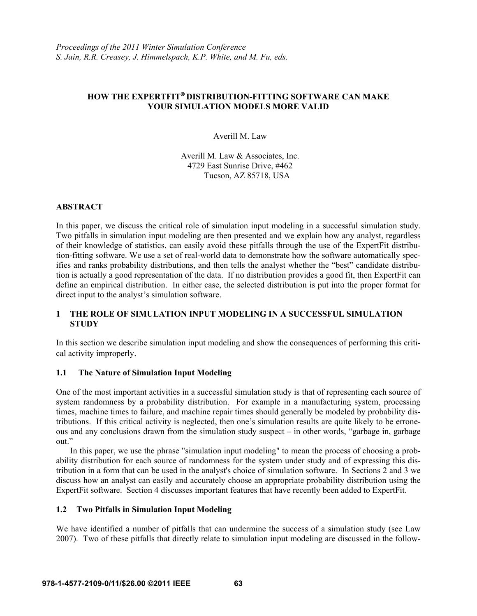# **HOW THE EXPERTFIT DISTRIBUTION-FITTING SOFTWARE CAN MAKE YOUR SIMULATION MODELS MORE VALID**

Averill M. Law

Averill M. Law & Associates, Inc. 4729 East Sunrise Drive, #462 Tucson, AZ 85718, USA

## **ABSTRACT**

In this paper, we discuss the critical role of simulation input modeling in a successful simulation study. Two pitfalls in simulation input modeling are then presented and we explain how any analyst, regardless of their knowledge of statistics, can easily avoid these pitfalls through the use of the ExpertFit distribution-fitting software. We use a set of real-world data to demonstrate how the software automatically specifies and ranks probability distributions, and then tells the analyst whether the "best" candidate distribution is actually a good representation of the data. If no distribution provides a good fit, then ExpertFit can define an empirical distribution. In either case, the selected distribution is put into the proper format for direct input to the analyst's simulation software.

## **1 THE ROLE OF SIMULATION INPUT MODELING IN A SUCCESSFUL SIMULATION STUDY**

In this section we describe simulation input modeling and show the consequences of performing this critical activity improperly.

## **1.1 The Nature of Simulation Input Modeling**

One of the most important activities in a successful simulation study is that of representing each source of system randomness by a probability distribution. For example in a manufacturing system, processing times, machine times to failure, and machine repair times should generally be modeled by probability distributions. If this critical activity is neglected, then one's simulation results are quite likely to be erroneous and any conclusions drawn from the simulation study suspect – in other words, "garbage in, garbage out."

In this paper, we use the phrase "simulation input modeling" to mean the process of choosing a probability distribution for each source of randomness for the system under study and of expressing this distribution in a form that can be used in the analyst's choice of simulation software. In Sections 2 and 3 we discuss how an analyst can easily and accurately choose an appropriate probability distribution using the ExpertFit software. Section 4 discusses important features that have recently been added to ExpertFit.

## **1.2 Two Pitfalls in Simulation Input Modeling**

We have identified a number of pitfalls that can undermine the success of a simulation study (see Law 2007). Two of these pitfalls that directly relate to simulation input modeling are discussed in the follow-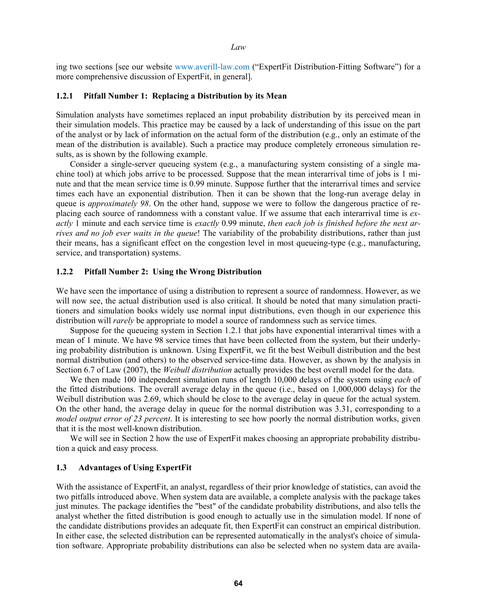ing two sections [see our website www.averill-law.com ("ExpertFit Distribution-Fitting Software") for a more comprehensive discussion of ExpertFit, in general].

## **1.2.1 Pitfall Number 1: Replacing a Distribution by its Mean**

Simulation analysts have sometimes replaced an input probability distribution by its perceived mean in their simulation models. This practice may be caused by a lack of understanding of this issue on the part of the analyst or by lack of information on the actual form of the distribution (e.g., only an estimate of the mean of the distribution is available). Such a practice may produce completely erroneous simulation results, as is shown by the following example.

Consider a single-server queueing system (e.g., a manufacturing system consisting of a single machine tool) at which jobs arrive to be processed. Suppose that the mean interarrival time of jobs is 1 minute and that the mean service time is 0.99 minute. Suppose further that the interarrival times and service times each have an exponential distribution. Then it can be shown that the long-run average delay in queue is *approximately 98*. On the other hand, suppose we were to follow the dangerous practice of replacing each source of randomness with a constant value. If we assume that each interarrival time is *exactly* 1 minute and each service time is *exactly* 0.99 minute, *then each job is finished before the next arrives and no job ever waits in the queue*! The variability of the probability distributions, rather than just their means, has a significant effect on the congestion level in most queueing-type (e.g., manufacturing, service, and transportation) systems.

#### **1.2.2 Pitfall Number 2: Using the Wrong Distribution**

We have seen the importance of using a distribution to represent a source of randomness. However, as we will now see, the actual distribution used is also critical. It should be noted that many simulation practitioners and simulation books widely use normal input distributions, even though in our experience this distribution will *rarely* be appropriate to model a source of randomness such as service times.

Suppose for the queueing system in Section 1.2.1 that jobs have exponential interarrival times with a mean of 1 minute. We have 98 service times that have been collected from the system, but their underlying probability distribution is unknown. Using ExpertFit, we fit the best Weibull distribution and the best normal distribution (and others) to the observed service-time data. However, as shown by the analysis in Section 6.7 of Law (2007), the *Weibull distribution* actually provides the best overall model for the data.

We then made 100 independent simulation runs of length 10,000 delays of the system using *each* of the fitted distributions. The overall average delay in the queue (i.e., based on 1,000,000 delays) for the Weibull distribution was 2.69, which should be close to the average delay in queue for the actual system. On the other hand, the average delay in queue for the normal distribution was 3.31, corresponding to a *model output error of 23 percent*. It is interesting to see how poorly the normal distribution works, given that it is the most well-known distribution.

We will see in Section 2 how the use of ExpertFit makes choosing an appropriate probability distribution a quick and easy process.

## **1.3 Advantages of Using ExpertFit**

With the assistance of ExpertFit, an analyst, regardless of their prior knowledge of statistics, can avoid the two pitfalls introduced above. When system data are available, a complete analysis with the package takes just minutes. The package identifies the "best" of the candidate probability distributions, and also tells the analyst whether the fitted distribution is good enough to actually use in the simulation model. If none of the candidate distributions provides an adequate fit, then ExpertFit can construct an empirical distribution. In either case, the selected distribution can be represented automatically in the analyst's choice of simulation software. Appropriate probability distributions can also be selected when no system data are availa-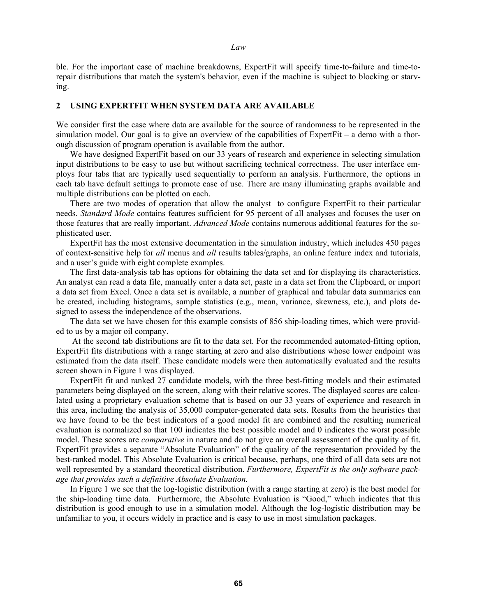ble. For the important case of machine breakdowns, ExpertFit will specify time-to-failure and time-torepair distributions that match the system's behavior, even if the machine is subject to blocking or starving.

#### **2 USING EXPERTFIT WHEN SYSTEM DATA ARE AVAILABLE**

We consider first the case where data are available for the source of randomness to be represented in the simulation model. Our goal is to give an overview of the capabilities of ExpertFit – a demo with a thorough discussion of program operation is available from the author.

We have designed ExpertFit based on our 33 years of research and experience in selecting simulation input distributions to be easy to use but without sacrificing technical correctness. The user interface employs four tabs that are typically used sequentially to perform an analysis. Furthermore, the options in each tab have default settings to promote ease of use. There are many illuminating graphs available and multiple distributions can be plotted on each.

There are two modes of operation that allow the analyst to configure ExpertFit to their particular needs. *Standard Mode* contains features sufficient for 95 percent of all analyses and focuses the user on those features that are really important. *Advanced Mode* contains numerous additional features for the sophisticated user.

ExpertFit has the most extensive documentation in the simulation industry, which includes 450 pages of context-sensitive help for *all* menus and *all* results tables/graphs, an online feature index and tutorials, and a user's guide with eight complete examples.

The first data-analysis tab has options for obtaining the data set and for displaying its characteristics. An analyst can read a data file, manually enter a data set, paste in a data set from the Clipboard, or import a data set from Excel. Once a data set is available, a number of graphical and tabular data summaries can be created, including histograms, sample statistics (e.g., mean, variance, skewness, etc.), and plots designed to assess the independence of the observations.

The data set we have chosen for this example consists of 856 ship-loading times, which were provided to us by a major oil company.

At the second tab distributions are fit to the data set. For the recommended automated-fitting option, ExpertFit fits distributions with a range starting at zero and also distributions whose lower endpoint was estimated from the data itself. These candidate models were then automatically evaluated and the results screen shown in Figure 1 was displayed.

ExpertFit fit and ranked 27 candidate models, with the three best-fitting models and their estimated parameters being displayed on the screen, along with their relative scores. The displayed scores are calculated using a proprietary evaluation scheme that is based on our 33 years of experience and research in this area, including the analysis of 35,000 computer-generated data sets. Results from the heuristics that we have found to be the best indicators of a good model fit are combined and the resulting numerical evaluation is normalized so that 100 indicates the best possible model and 0 indicates the worst possible model. These scores are *comparative* in nature and do not give an overall assessment of the quality of fit. ExpertFit provides a separate "Absolute Evaluation" of the quality of the representation provided by the best-ranked model. This Absolute Evaluation is critical because, perhaps, one third of all data sets are not well represented by a standard theoretical distribution. *Furthermore, ExpertFit is the only software package that provides such a definitive Absolute Evaluation.*

In Figure 1 we see that the log-logistic distribution (with a range starting at zero) is the best model for the ship-loading time data. Furthermore, the Absolute Evaluation is "Good," which indicates that this distribution is good enough to use in a simulation model. Although the log-logistic distribution may be unfamiliar to you, it occurs widely in practice and is easy to use in most simulation packages.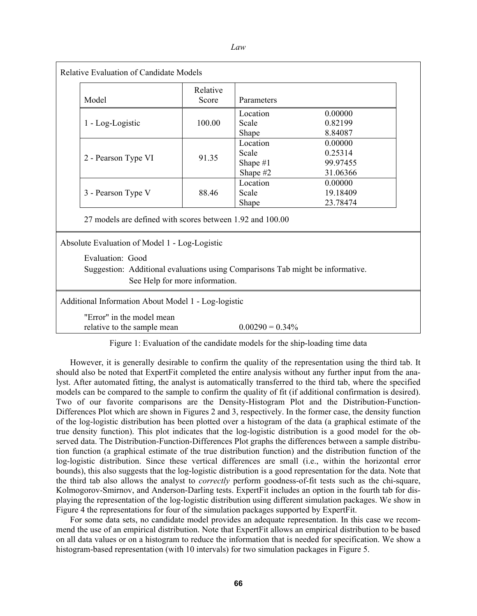| <b>Relative Evaluation of Candidate Models</b>                                                                                       |                     |                   |                                           |                                            |  |  |
|--------------------------------------------------------------------------------------------------------------------------------------|---------------------|-------------------|-------------------------------------------|--------------------------------------------|--|--|
|                                                                                                                                      | Model               | Relative<br>Score | Parameters                                |                                            |  |  |
|                                                                                                                                      | 1 - Log-Logistic    | 100.00            | Location<br>Scale<br>Shape                | 0.00000<br>0.82199<br>8.84087              |  |  |
|                                                                                                                                      | 2 - Pearson Type VI | 91.35             | Location<br>Scale<br>Shape #1<br>Shape #2 | 0.00000<br>0.25314<br>99.97455<br>31.06366 |  |  |
|                                                                                                                                      | 3 - Pearson Type V  | 88.46             | Location<br>Scale<br>Shape                | 0.00000<br>19.18409<br>23.78474            |  |  |
| 27 models are defined with scores between 1.92 and 100.00                                                                            |                     |                   |                                           |                                            |  |  |
| Absolute Evaluation of Model 1 - Log-Logistic                                                                                        |                     |                   |                                           |                                            |  |  |
| Evaluation: Good<br>Suggestion: Additional evaluations using Comparisons Tab might be informative.<br>See Help for more information. |                     |                   |                                           |                                            |  |  |
| Additional Information About Model 1 - Log-logistic                                                                                  |                     |                   |                                           |                                            |  |  |
| "Error" in the model mean<br>$0.00290 = 0.34\%$<br>relative to the sample mean                                                       |                     |                   |                                           |                                            |  |  |

Figure 1: Evaluation of the candidate models for the ship-loading time data

 However, it is generally desirable to confirm the quality of the representation using the third tab. It should also be noted that ExpertFit completed the entire analysis without any further input from the analyst. After automated fitting, the analyst is automatically transferred to the third tab, where the specified models can be compared to the sample to confirm the quality of fit (if additional confirmation is desired). Two of our favorite comparisons are the Density-Histogram Plot and the Distribution-Function-Differences Plot which are shown in Figures 2 and 3, respectively. In the former case, the density function of the log-logistic distribution has been plotted over a histogram of the data (a graphical estimate of the true density function). This plot indicates that the log-logistic distribution is a good model for the observed data. The Distribution-Function-Differences Plot graphs the differences between a sample distribution function (a graphical estimate of the true distribution function) and the distribution function of the log-logistic distribution. Since these vertical differences are small (i.e., within the horizontal error bounds), this also suggests that the log-logistic distribution is a good representation for the data. Note that the third tab also allows the analyst to *correctly* perform goodness-of-fit tests such as the chi-square, Kolmogorov-Smirnov, and Anderson-Darling tests. ExpertFit includes an option in the fourth tab for displaying the representation of the log-logistic distribution using different simulation packages. We show in Figure 4 the representations for four of the simulation packages supported by ExpertFit.

For some data sets, no candidate model provides an adequate representation. In this case we recommend the use of an empirical distribution. Note that ExpertFit allows an empirical distribution to be based on all data values or on a histogram to reduce the information that is needed for specification. We show a histogram-based representation (with 10 intervals) for two simulation packages in Figure 5.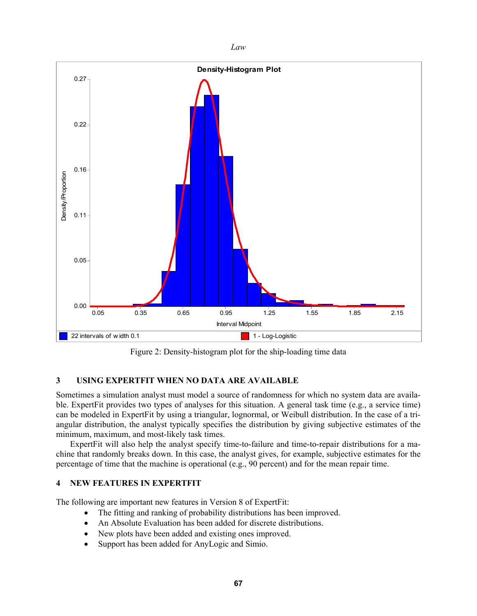

Figure 2: Density-histogram plot for the ship-loading time data

## **3 USING EXPERTFIT WHEN NO DATA ARE AVAILABLE**

Sometimes a simulation analyst must model a source of randomness for which no system data are available. ExpertFit provides two types of analyses for this situation. A general task time (e.g., a service time) can be modeled in ExpertFit by using a triangular, lognormal, or Weibull distribution. In the case of a triangular distribution, the analyst typically specifies the distribution by giving subjective estimates of the minimum, maximum, and most-likely task times.

ExpertFit will also help the analyst specify time-to-failure and time-to-repair distributions for a machine that randomly breaks down. In this case, the analyst gives, for example, subjective estimates for the percentage of time that the machine is operational (e.g., 90 percent) and for the mean repair time.

## **4 NEW FEATURES IN EXPERTFIT**

The following are important new features in Version 8 of ExpertFit:

- The fitting and ranking of probability distributions has been improved.
- An Absolute Evaluation has been added for discrete distributions.
- New plots have been added and existing ones improved.
- Support has been added for AnyLogic and Simio.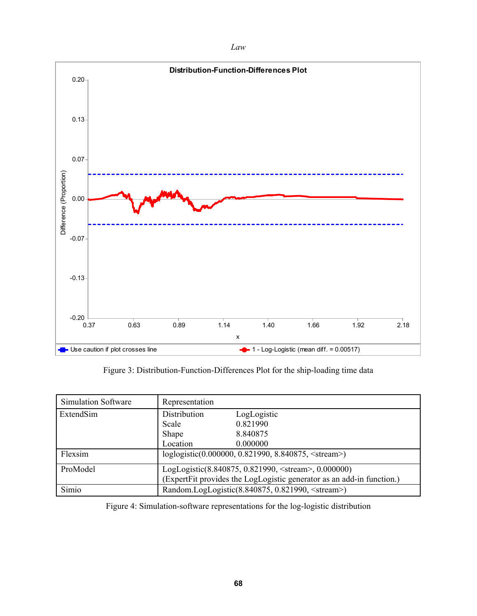



Figure 3: Distribution-Function-Differences Plot for the ship-loading time data

| <b>Simulation Software</b> | Representation                                                        |             |  |
|----------------------------|-----------------------------------------------------------------------|-------------|--|
| ExtendSim                  | Distribution                                                          | LogLogistic |  |
|                            | Scale                                                                 | 0.821990    |  |
|                            | Shape                                                                 | 8.840875    |  |
|                            | Location                                                              | 0.000000    |  |
| Flexsim                    | loglogistic(0.000000, 0.821990, 8.840875, <stream>)</stream>          |             |  |
| ProModel                   | LogLogistic(8.840875, 0.821990, <stream>, 0.000000)</stream>          |             |  |
|                            | (ExpertFit provides the LogLogistic generator as an add-in function.) |             |  |
| Simio                      | Random.LogLogistic(8.840875, 0.821990, <stream>)</stream>             |             |  |

Figure 4: Simulation-software representations for the log-logistic distribution